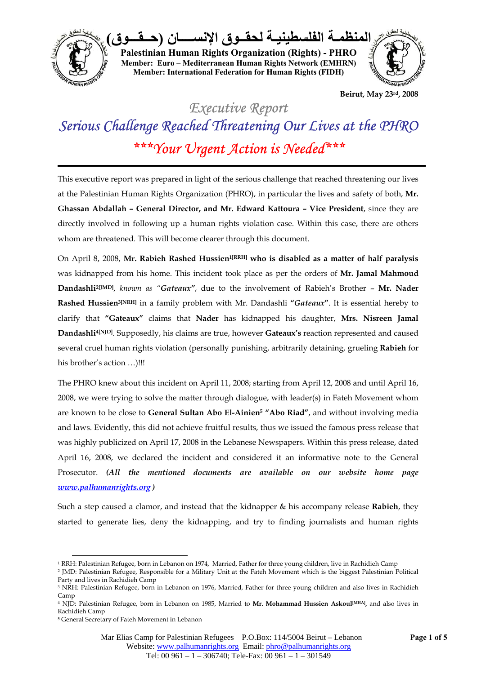

**المنظمـة الفلسطينيـة لحقــوق الإنســــان (حــقـــوق ) Palestinian Human Rights Organization (Rights) - PHRO Member: Euro – Mediterranean Human Rights Network (EMHRN) Member: International Federation for Human Rights (FIDH)** 



**Beirut, May 23rd, 2008** 

## *Executive Report Serious Challenge Reached Threatening Our Lives at the PHRO \*\*\*Your Urgent Action is Needed\*\*\**

This executive report was prepared in light of the serious challenge that reached threatening our lives at the Palestinian Human Rights Organization (PHRO), in particular the lives and safety of both, **Mr. Ghassan Abdallah – General Director, and Mr. Edward Kattoura – Vice President**, since they are directly involved in following up a human rights violation case. Within this case, there are others whom are threatened. This will become clearer through this document.

On April 8, 2008, **Mr. Rabieh Rashed Hussien1[RRH] who is disabled as a matter of half paralysis** was kidnapped from his home. This incident took place as per the orders of **Mr. Jamal Mahmoud Dandashli2[JMD]**, *known as "Gateaux"*, due to the involvement of Rabieh's Brother – **Mr. Nader Rashed Hussien3[NRH]** in a family problem with Mr. Dandashli **"***Gateaux***"**. It is essential hereby to clarify that **"Gateaux"** claims that **Nader** has kidnapped his daughter, **Mrs. Nisreen Jamal Dandashli4[NJD]***.* Supposedly, his claims are true, however **Gateaux's** reaction represented and caused several cruel human rights violation (personally punishing, arbitrarily detaining, grueling **Rabieh** for his brother's action ...)!!!

The PHRO knew about this incident on April 11, 2008; starting from April 12, 2008 and until April 16, 2008, we were trying to solve the matter through dialogue, with leader(s) in Fateh Movement whom are known to be close to **General Sultan Abo El-Ainien5 "Abo Riad"**, and without involving media and laws. Evidently, this did not achieve fruitful results, thus we issued the famous press release that was highly publicized on April 17, 2008 in the Lebanese Newspapers. Within this press release, dated April 16, 2008, we declared the incident and considered it an informative note to the General Prosecutor. *(All the mentioned documents are available on our website home page www.palhumanrights.org )*

Such a step caused a clamor, and instead that the kidnapper & his accompany release **Rabieh**, they started to generate lies, deny the kidnapping, and try to finding journalists and human rights

 $\overline{a}$ 

<sup>1</sup> RRH: Palestinian Refugee, born in Lebanon on 1974, Married, Father for three young children, live in Rachidieh Camp 2 JMD: Palestinian Refugee, Responsible for a Military Unit at the Fateh Movement which is the biggest Palestinian Political

Party and lives in Rachidieh Camp

<sup>3</sup> NRH: Palestinian Refugee, born in Lebanon on 1976, Married, Father for three young children and also lives in Rachidieh Camp

<sup>4</sup> NJD: Palestinian Refugee, born in Lebanon on 1985, Married to **Mr. Mohammad Hussien Askoul[MHA],** and also lives in Rachidieh Camp

<sup>5</sup> General Secretary of Fateh Movement in Lebanon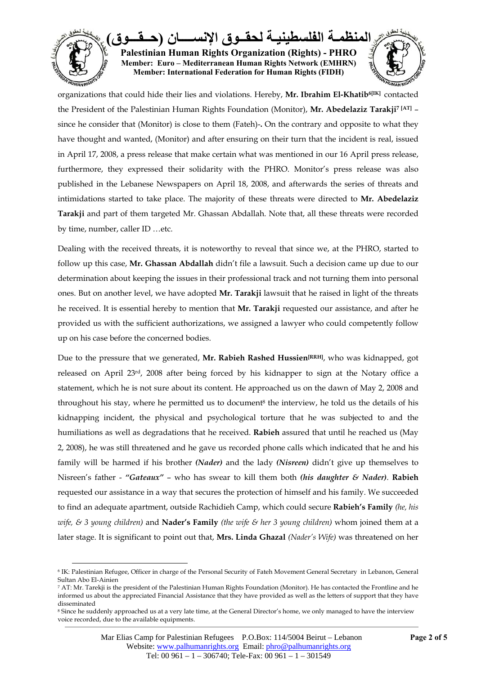

organizations that could hide their lies and violations. Hereby, **Mr. Ibrahim El-Khatib6[IK]** contacted the President of the Palestinian Human Rights Foundation (Monitor), **Mr. Abedelaziz Tarakji7 [AT]** – since he consider that (Monitor) is close to them (Fateh)-**.** On the contrary and opposite to what they have thought and wanted, (Monitor) and after ensuring on their turn that the incident is real, issued in April 17, 2008, a press release that make certain what was mentioned in our 16 April press release, furthermore, they expressed their solidarity with the PHRO. Monitor's press release was also published in the Lebanese Newspapers on April 18, 2008, and afterwards the series of threats and intimidations started to take place. The majority of these threats were directed to **Mr. Abedelaziz Tarakji** and part of them targeted Mr. Ghassan Abdallah. Note that, all these threats were recorded by time, number, caller ID …etc.

Dealing with the received threats, it is noteworthy to reveal that since we, at the PHRO, started to follow up this case, **Mr. Ghassan Abdallah** didn't file a lawsuit. Such a decision came up due to our determination about keeping the issues in their professional track and not turning them into personal ones. But on another level, we have adopted **Mr. Tarakji** lawsuit that he raised in light of the threats he received. It is essential hereby to mention that **Mr. Tarakji** requested our assistance, and after he provided us with the sufficient authorizations, we assigned a lawyer who could competently follow up on his case before the concerned bodies.

Due to the pressure that we generated, **Mr. Rabieh Rashed Hussien[RRH]**, who was kidnapped, got released on April 23rd, 2008 after being forced by his kidnapper to sign at the Notary office a statement, which he is not sure about its content. He approached us on the dawn of May 2, 2008 and throughout his stay, where he permitted us to document8 the interview, he told us the details of his kidnapping incident, the physical and psychological torture that he was subjected to and the humiliations as well as degradations that he received. **Rabieh** assured that until he reached us (May 2, 2008), he was still threatened and he gave us recorded phone calls which indicated that he and his family will be harmed if his brother *(Nader)* and the lady *(Nisreen)* didn't give up themselves to Nisreen's father - *"Gateaux"* – who has swear to kill them both *(his daughter & Nader)*. **Rabieh** requested our assistance in a way that secures the protection of himself and his family. We succeeded to find an adequate apartment, outside Rachidieh Camp, which could secure **Rabieh's Family** *(he, his wife, & 3 young children)* and **Nader's Family** *(the wife & her 3 young children)* whom joined them at a later stage. It is significant to point out that, **Mrs. Linda Ghazal** *(Nader's Wife)* was threatened on her

 $\overline{a}$ 6 IK: Palestinian Refugee, Officer in charge of the Personal Security of Fateh Movement General Secretary in Lebanon, General Sultan Abo El-Ainien

<sup>7</sup> AT: Mr. Tarekji is the president of the Palestinian Human Rights Foundation (Monitor). He has contacted the Frontline and he informed us about the appreciated Financial Assistance that they have provided as well as the letters of support that they have disseminated

<sup>8</sup> Since he suddenly approached us at a very late time, at the General Director's home, we only managed to have the interview voice recorded, due to the available equipments.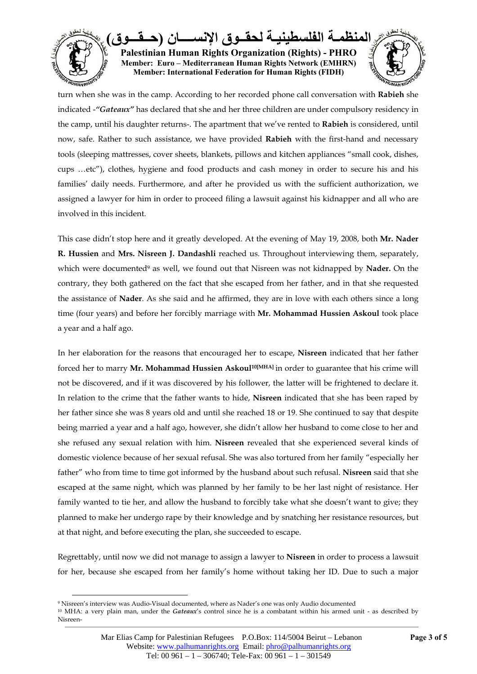

turn when she was in the camp. According to her recorded phone call conversation with **Rabieh** she indicated -*"Gateaux"* has declared that she and her three children are under compulsory residency in the camp, until his daughter returns-. The apartment that we've rented to **Rabieh** is considered, until now, safe. Rather to such assistance, we have provided **Rabieh** with the first-hand and necessary tools (sleeping mattresses, cover sheets, blankets, pillows and kitchen appliances "small cook, dishes, cups …etc"), clothes, hygiene and food products and cash money in order to secure his and his families' daily needs. Furthermore, and after he provided us with the sufficient authorization, we assigned a lawyer for him in order to proceed filing a lawsuit against his kidnapper and all who are involved in this incident.

This case didn't stop here and it greatly developed. At the evening of May 19, 2008, both **Mr. Nader R. Hussien** and **Mrs. Nisreen J. Dandashli** reached us. Throughout interviewing them, separately, which were documented<sup>9</sup> as well, we found out that Nisreen was not kidnapped by **Nader.** On the contrary, they both gathered on the fact that she escaped from her father, and in that she requested the assistance of **Nader**. As she said and he affirmed, they are in love with each others since a long time (four years) and before her forcibly marriage with **Mr. Mohammad Hussien Askoul** took place a year and a half ago.

In her elaboration for the reasons that encouraged her to escape, **Nisreen** indicated that her father forced her to marry **Mr. Mohammad Hussien Askoul10[MHA]** in order to guarantee that his crime will not be discovered, and if it was discovered by his follower, the latter will be frightened to declare it. In relation to the crime that the father wants to hide, **Nisreen** indicated that she has been raped by her father since she was 8 years old and until she reached 18 or 19. She continued to say that despite being married a year and a half ago, however, she didn't allow her husband to come close to her and she refused any sexual relation with him. **Nisreen** revealed that she experienced several kinds of domestic violence because of her sexual refusal. She was also tortured from her family "especially her father" who from time to time got informed by the husband about such refusal. **Nisreen** said that she escaped at the same night, which was planned by her family to be her last night of resistance. Her family wanted to tie her, and allow the husband to forcibly take what she doesn't want to give; they planned to make her undergo rape by their knowledge and by snatching her resistance resources, but at that night, and before executing the plan, she succeeded to escape.

Regrettably, until now we did not manage to assign a lawyer to **Nisreen** in order to process a lawsuit for her, because she escaped from her family's home without taking her ID. Due to such a major

 $\overline{a}$ 

<sup>9</sup> Nisreen's interview was Audio-Visual documented, where as Nader's one was only Audio documented

<sup>10</sup> MHA: a very plain man, under the *Gateaux*'s control since he is a combatant within his armed unit - as described by Nisreen-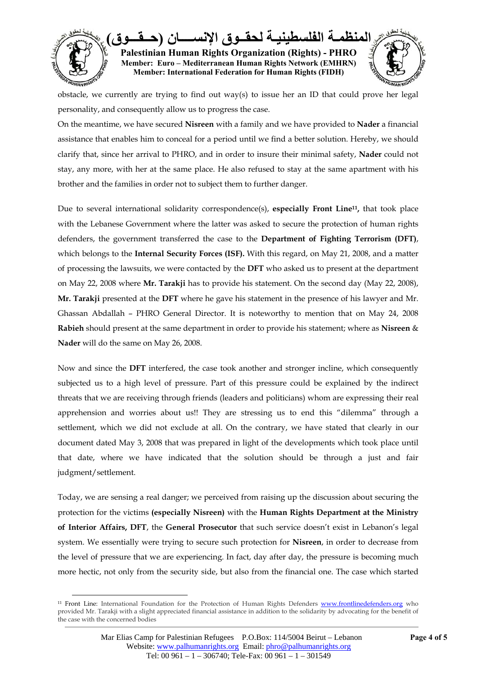

obstacle, we currently are trying to find out way(s) to issue her an ID that could prove her legal personality, and consequently allow us to progress the case.

On the meantime, we have secured **Nisreen** with a family and we have provided to **Nader** a financial assistance that enables him to conceal for a period until we find a better solution. Hereby, we should clarify that, since her arrival to PHRO, and in order to insure their minimal safety, **Nader** could not stay, any more, with her at the same place. He also refused to stay at the same apartment with his brother and the families in order not to subject them to further danger.

Due to several international solidarity correspondence(s), **especially Front Line11,** that took place with the Lebanese Government where the latter was asked to secure the protection of human rights defenders, the government transferred the case to the **Department of Fighting Terrorism (DFT)**, which belongs to the **Internal Security Forces (ISF).** With this regard, on May 21, 2008, and a matter of processing the lawsuits, we were contacted by the **DFT** who asked us to present at the department on May 22, 2008 where **Mr. Tarakji** has to provide his statement. On the second day (May 22, 2008), **Mr. Tarakji** presented at the **DFT** where he gave his statement in the presence of his lawyer and Mr. Ghassan Abdallah – PHRO General Director. It is noteworthy to mention that on May 24, 2008 **Rabieh** should present at the same department in order to provide his statement; where as **Nisreen** & **Nader** will do the same on May 26, 2008.

Now and since the **DFT** interfered, the case took another and stronger incline, which consequently subjected us to a high level of pressure. Part of this pressure could be explained by the indirect threats that we are receiving through friends (leaders and politicians) whom are expressing their real apprehension and worries about us!! They are stressing us to end this "dilemma" through a settlement, which we did not exclude at all. On the contrary, we have stated that clearly in our document dated May 3, 2008 that was prepared in light of the developments which took place until that date, where we have indicated that the solution should be through a just and fair judgment/settlement.

Today, we are sensing a real danger; we perceived from raising up the discussion about securing the protection for the victims **(especially Nisreen)** with the **Human Rights Department at the Ministry of Interior Affairs, DFT**, the **General Prosecutor** that such service doesn't exist in Lebanon's legal system. We essentially were trying to secure such protection for **Nisreen**, in order to decrease from the level of pressure that we are experiencing. In fact, day after day, the pressure is becoming much more hectic, not only from the security side, but also from the financial one. The case which started

 $\overline{a}$ 11 Front Line: International Foundation for the Protection of Human Rights Defenders www.frontlinedefenders.org who provided Mr. Tarakji with a slight appreciated financial assistance in addition to the solidarity by advocating for the benefit of the case with the concerned bodies